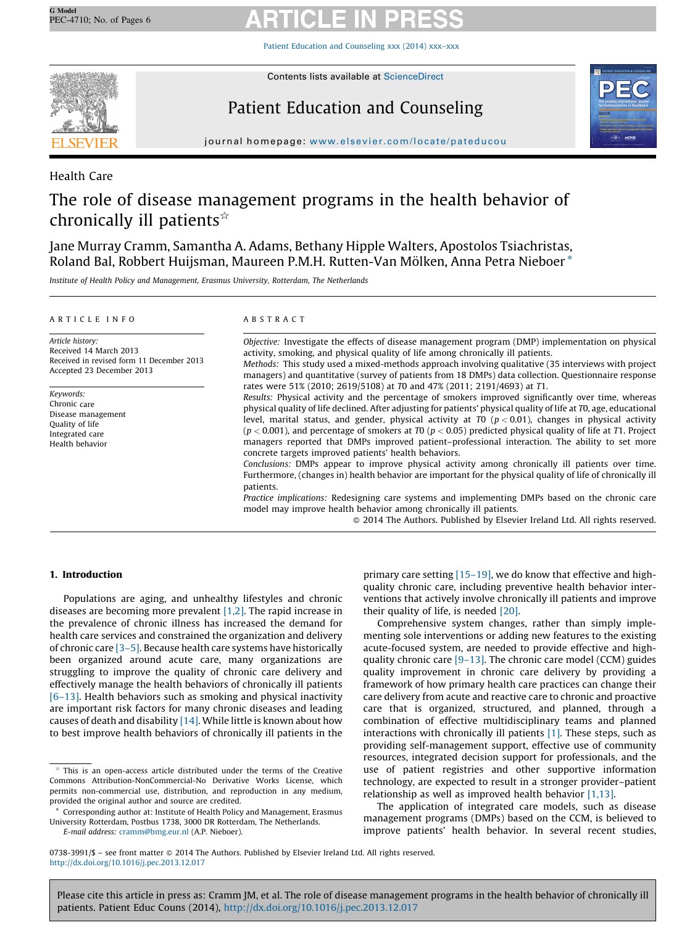Patient Education and [Counseling](http://dx.doi.org/10.1016/j.pec.2013.12.017) xxx (2014) xxx–xxx



Contents lists available at [ScienceDirect](http://www.sciencedirect.com/science/journal/07383991)

# Patient Education and Counseling



journal homepage: [www.elsevier.com/locate/pateducou](http://dx.doi.org/www.elsevier.com/locate/pateducou)

Health Care

# The role of disease management programs in the health behavior of chronically ill patients<sup>\*</sup>

Jane Murray Cramm, Samantha A. Adams, Bethany Hipple Walters, Apostolos Tsiachristas, Roland Bal, Robbert Huijsman, Maureen P.M.H. Rutten-Van Mölken, Anna Petra Nieboer\*

Institute of Health Policy and Management, Erasmus University, Rotterdam, The Netherlands

#### A R T I C L E I N F O

Article history: Received 14 March 2013 Received in revised form 11 December 2013 Accepted 23 December 2013

Keywords: Chronic care Disease management Quality of life Integrated care Health behavior

### A B S T R A C T

Objective: Investigate the effects of disease management program (DMP) implementation on physical activity, smoking, and physical quality of life among chronically ill patients.

Methods: This study used a mixed-methods approach involving qualitative (35 interviews with project managers) and quantitative (survey of patients from 18 DMPs) data collection. Questionnaire response rates were 51% (2010; 2619/5108) at T0 and 47% (2011; 2191/4693) at T1.

Results: Physical activity and the percentage of smokers improved significantly over time, whereas physical quality of life declined. After adjusting for patients' physical quality of life at T0, age, educational level, marital status, and gender, physical activity at T0 ( $p < 0.01$ ), changes in physical activity  $(p < 0.001)$ , and percentage of smokers at T0  $(p < 0.05)$  predicted physical quality of life at T1. Project managers reported that DMPs improved patient–professional interaction. The ability to set more concrete targets improved patients' health behaviors.

Conclusions: DMPs appear to improve physical activity among chronically ill patients over time. Furthermore, (changes in) health behavior are important for the physical quality of life of chronically ill patients.

Practice implications: Redesigning care systems and implementing DMPs based on the chronic care model may improve health behavior among chronically ill patients.

- 2014 The Authors. Published by Elsevier Ireland Ltd. All rights reserved.

#### 1. Introduction

Populations are aging, and unhealthy lifestyles and chronic diseases are becoming more prevalent [\[1,2\]](#page-4-0). The rapid increase in the prevalence of chronic illness has increased the demand for health care services and constrained the organization and delivery of chronic care [\[3–5\].](#page-4-0) Because health care systems have historically been organized around acute care, many organizations are struggling to improve the quality of chronic care delivery and effectively manage the health behaviors of chronically ill patients [\[6–13\].](#page-4-0) Health behaviors such as smoking and physical inactivity are important risk factors for many chronic diseases and leading causes of death and disability  $[14]$ . While little is known about how to best improve health behaviors of chronically ill patients in the

\* Corresponding author at: Institute of Health Policy and Management, Erasmus University Rotterdam, Postbus 1738, 3000 DR Rotterdam, The Netherlands.

E-mail address: [cramm@bmg.eur.nl](mailto:cramm@bmg.eur.nl) (A.P. Nieboer).

primary care setting [\[15–19\],](#page-4-0) we do know that effective and highquality chronic care, including preventive health behavior interventions that actively involve chronically ill patients and improve their quality of life, is needed [\[20\]](#page-4-0).

Comprehensive system changes, rather than simply implementing sole interventions or adding new features to the existing acute-focused system, are needed to provide effective and highquality chronic care  $[9-13]$ . The chronic care model (CCM) guides quality improvement in chronic care delivery by providing a framework of how primary health care practices can change their care delivery from acute and reactive care to chronic and proactive care that is organized, structured, and planned, through a combination of effective multidisciplinary teams and planned interactions with chronically ill patients  $[1]$ . These steps, such as providing self-management support, effective use of community resources, integrated decision support for professionals, and the use of patient registries and other supportive information technology, are expected to result in a stronger provider–patient relationship as well as improved health behavior [\[1,13\]](#page-4-0).

The application of integrated care models, such as disease management programs (DMPs) based on the CCM, is believed to improve patients' health behavior. In several recent studies,

0738-3991/\$ – see front matter © 2014 The Authors. Published by Elsevier Ireland Ltd. All rights reserved. <http://dx.doi.org/10.1016/j.pec.2013.12.017>

This is an open-access article distributed under the terms of the Creative Commons Attribution-NonCommercial-No Derivative Works License, which permits non-commercial use, distribution, and reproduction in any medium, provided the original author and source are credited.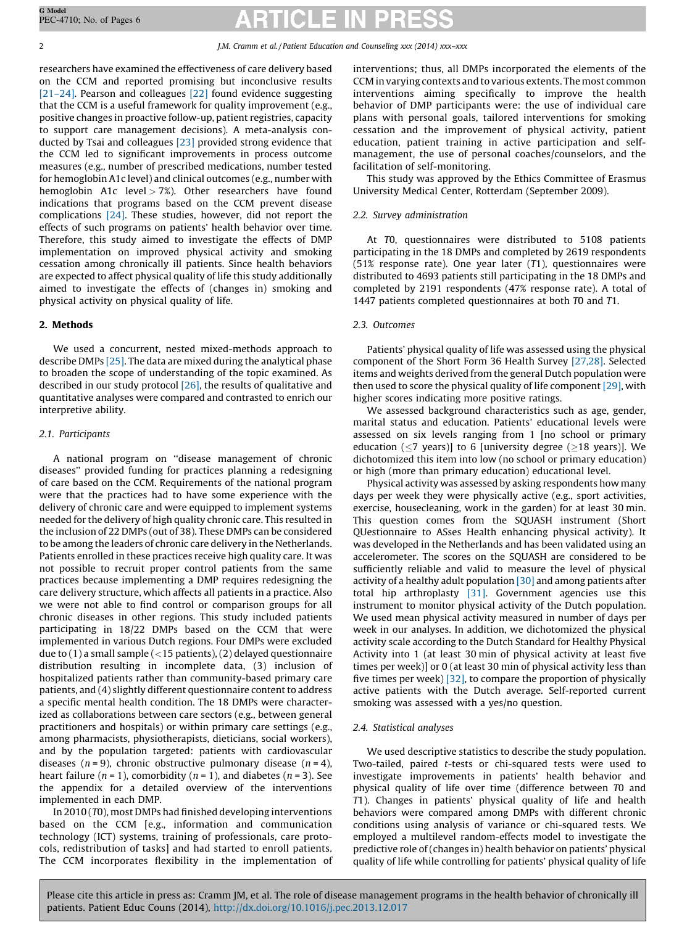researchers have examined the effectiveness of care delivery based on the CCM and reported promising but inconclusive results [\[21–24\].](#page-4-0) Pearson and colleagues [\[22\]](#page-4-0) found evidence suggesting that the CCM is a useful framework for quality improvement (e.g., positive changes in proactive follow-up, patient registries, capacity to support care management decisions). A meta-analysis conducted by Tsai and colleagues [\[23\]](#page-5-0) provided strong evidence that the CCM led to significant improvements in process outcome measures (e.g., number of prescribed medications, number tested for hemoglobin A1c level) and clinical outcomes (e.g., number with hemoglobin A1c level > 7%). Other researchers have found indications that programs based on the CCM prevent disease complications [\[24\].](#page-5-0) These studies, however, did not report the effects of such programs on patients' health behavior over time. Therefore, this study aimed to investigate the effects of DMP implementation on improved physical activity and smoking cessation among chronically ill patients. Since health behaviors are expected to affect physical quality of life this study additionally aimed to investigate the effects of (changes in) smoking and physical activity on physical quality of life.

#### 2. Methods

We used a concurrent, nested mixed-methods approach to describe DMPs [\[25\].](#page-5-0) The data are mixed during the analytical phase to broaden the scope of understanding of the topic examined. As described in our study protocol [\[26\],](#page-5-0) the results of qualitative and quantitative analyses were compared and contrasted to enrich our interpretive ability.

#### 2.1. Participants

A national program on ''disease management of chronic diseases'' provided funding for practices planning a redesigning of care based on the CCM. Requirements of the national program were that the practices had to have some experience with the delivery of chronic care and were equipped to implement systems needed for the delivery of high quality chronic care. This resulted in the inclusion of 22 DMPs (out of 38). These DMPs can be considered to be among the leaders of chronic care delivery in the Netherlands. Patients enrolled in these practices receive high quality care. It was not possible to recruit proper control patients from the same practices because implementing a DMP requires redesigning the care delivery structure, which affects all patients in a practice. Also we were not able to find control or comparison groups for all chronic diseases in other regions. This study included patients participating in 18/22 DMPs based on the CCM that were implemented in various Dutch regions. Four DMPs were excluded due to  $(1)$  a small sample  $\left($  < 15 patients),  $(2)$  delayed questionnaire distribution resulting in incomplete data, (3) inclusion of hospitalized patients rather than community-based primary care patients, and (4) slightly different questionnaire content to address a specific mental health condition. The 18 DMPs were characterized as collaborations between care sectors (e.g., between general practitioners and hospitals) or within primary care settings (e.g., among pharmacists, physiotherapists, dieticians, social workers), and by the population targeted: patients with cardiovascular diseases ( $n = 9$ ), chronic obstructive pulmonary disease ( $n = 4$ ), heart failure ( $n = 1$ ), comorbidity ( $n = 1$ ), and diabetes ( $n = 3$ ). See the appendix for a detailed overview of the interventions implemented in each DMP.

In 2010 (T0), most DMPs had finished developing interventions based on the CCM [e.g., information and communication technology (ICT) systems, training of professionals, care protocols, redistribution of tasks] and had started to enroll patients. The CCM incorporates flexibility in the implementation of interventions; thus, all DMPs incorporated the elements of the CCM in varying contexts and to various extents. The most common interventions aiming specifically to improve the health behavior of DMP participants were: the use of individual care plans with personal goals, tailored interventions for smoking cessation and the improvement of physical activity, patient education, patient training in active participation and selfmanagement, the use of personal coaches/counselors, and the facilitation of self-monitoring.

This study was approved by the Ethics Committee of Erasmus University Medical Center, Rotterdam (September 2009).

#### 2.2. Survey administration

At T0, questionnaires were distributed to 5108 patients participating in the 18 DMPs and completed by 2619 respondents (51% response rate). One year later (T1), questionnaires were distributed to 4693 patients still participating in the 18 DMPs and completed by 2191 respondents (47% response rate). A total of 1447 patients completed questionnaires at both T0 and T1.

#### 2.3. Outcomes

Patients' physical quality of life was assessed using the physical component of the Short Form 36 Health Survey [\[27,28\]](#page-5-0). Selected items and weights derived from the general Dutch population were then used to score the physical quality of life component [\[29\]](#page-5-0), with higher scores indicating more positive ratings.

We assessed background characteristics such as age, gender, marital status and education. Patients' educational levels were assessed on six levels ranging from 1 [no school or primary education ( $\leq$ 7 years)] to 6 [university degree ( $\geq$ 18 years)]. We dichotomized this item into low (no school or primary education) or high (more than primary education) educational level.

Physical activity was assessed by asking respondents how many days per week they were physically active (e.g., sport activities, exercise, housecleaning, work in the garden) for at least 30 min. This question comes from the SQUASH instrument (Short QUestionnaire to ASses Health enhancing physical activity). It was developed in the Netherlands and has been validated using an accelerometer. The scores on the SQUASH are considered to be sufficiently reliable and valid to measure the level of physical activity of a healthy adult population  $[30]$  and among patients after total hip arthroplasty [\[31\]](#page-5-0). Government agencies use this instrument to monitor physical activity of the Dutch population. We used mean physical activity measured in number of days per week in our analyses. In addition, we dichotomized the physical activity scale according to the Dutch Standard for Healthy Physical Activity into 1 (at least 30 min of physical activity at least five times per week)] or 0 (at least 30 min of physical activity less than five times per week)  $[32]$ , to compare the proportion of physically active patients with the Dutch average. Self-reported current smoking was assessed with a yes/no question.

#### 2.4. Statistical analyses

We used descriptive statistics to describe the study population. Two-tailed, paired t-tests or chi-squared tests were used to investigate improvements in patients' health behavior and physical quality of life over time (difference between T0 and T1). Changes in patients' physical quality of life and health behaviors were compared among DMPs with different chronic conditions using analysis of variance or chi-squared tests. We employed a multilevel random-effects model to investigate the predictive role of (changes in) health behavior on patients' physical quality of life while controlling for patients' physical quality of life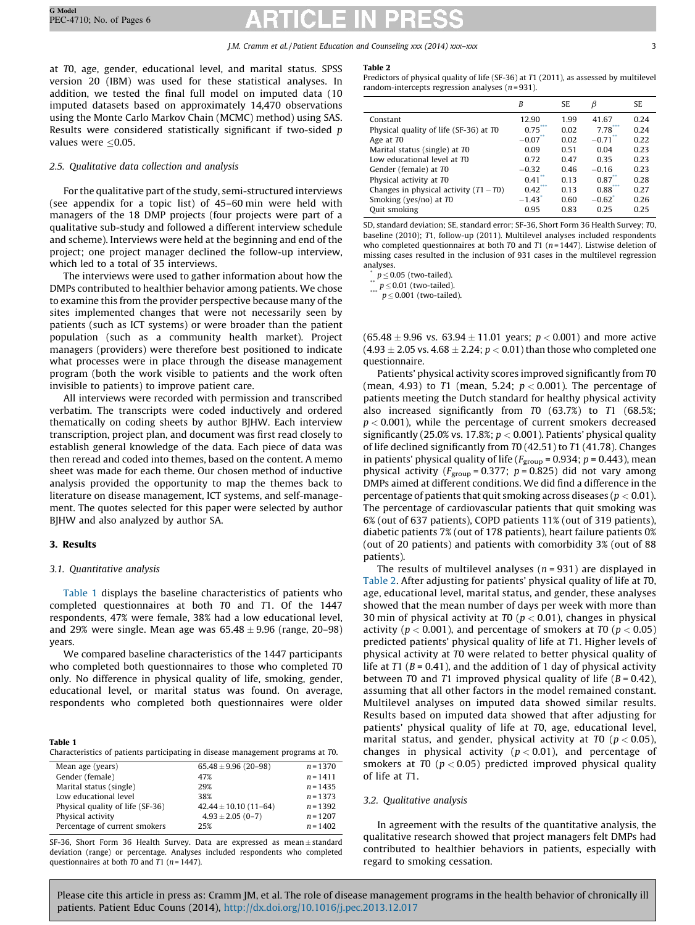at T0, age, gender, educational level, and marital status. SPSS version 20 (IBM) was used for these statistical analyses. In addition, we tested the final full model on imputed data (10 imputed datasets based on approximately 14,470 observations using the Monte Carlo Markov Chain (MCMC) method) using SAS. Results were considered statistically significant if two-sided p values were  $\leq$ 0.05.

## 2.5. Qualitative data collection and analysis

For the qualitative part of the study, semi-structured interviews (see appendix for a topic list) of 45–60 min were held with managers of the 18 DMP projects (four projects were part of a qualitative sub-study and followed a different interview schedule and scheme). Interviews were held at the beginning and end of the project; one project manager declined the follow-up interview, which led to a total of 35 interviews.

The interviews were used to gather information about how the DMPs contributed to healthier behavior among patients. We chose to examine this from the provider perspective because many of the sites implemented changes that were not necessarily seen by patients (such as ICT systems) or were broader than the patient population (such as a community health market). Project managers (providers) were therefore best positioned to indicate what processes were in place through the disease management program (both the work visible to patients and the work often invisible to patients) to improve patient care.

All interviews were recorded with permission and transcribed verbatim. The transcripts were coded inductively and ordered thematically on coding sheets by author BJHW. Each interview transcription, project plan, and document was first read closely to establish general knowledge of the data. Each piece of data was then reread and coded into themes, based on the content. A memo sheet was made for each theme. Our chosen method of inductive analysis provided the opportunity to map the themes back to literature on disease management, ICT systems, and self-management. The quotes selected for this paper were selected by author BJHW and also analyzed by author SA.

# 3. Results

# 3.1. Quantitative analysis

Table 1 displays the baseline characteristics of patients who completed questionnaires at both T0 and T1. Of the 1447 respondents, 47% were female, 38% had a low educational level, and 29% were single. Mean age was  $65.48 \pm 9.96$  (range, 20-98) years.

We compared baseline characteristics of the 1447 participants who completed both questionnaires to those who completed T0 only. No difference in physical quality of life, smoking, gender, educational level, or marital status was found. On average, respondents who completed both questionnaires were older

| Table 1              |                                                                                 |            |
|----------------------|---------------------------------------------------------------------------------|------------|
|                      | Characteristics of patients participating in disease management programs at TO. |            |
| $M$ aan aga (110350) | $CE$ $AO$ $\cap$ $OCE$ $(20, 00)$                                               | $m = 1270$ |

| Mean age (years)                 | $65.48 \pm 9.96$ (20-98) | $n = 1370$ |
|----------------------------------|--------------------------|------------|
| Gender (female)                  | 47%                      | $n = 1411$ |
| Marital status (single)          | 29%                      | $n = 1435$ |
| Low educational level            | 38%                      | $n = 1373$ |
| Physical quality of life (SF-36) | $42.44 \pm 10.10(11-64)$ | $n = 1392$ |
| Physical activity                | $4.93 \pm 2.05$ (0-7)    | $n = 1207$ |
| Percentage of current smokers    | 25%                      | $n = 1402$ |
|                                  |                          |            |

SF-36, Short Form 36 Health Survey. Data are expressed as mean  $\pm$  standard deviation (range) or percentage. Analyses included respondents who completed questionnaires at both T0 and T1 ( $n = 1447$ ).

#### Table 2

Predictors of physical quality of life (SF-36) at T1 (2011), as assessed by multilevel random-intercepts regression analyses  $(n = 931)$ .

| B                     | SE.  | В                     | SE.  |
|-----------------------|------|-----------------------|------|
| 12.90                 | 1.99 | 41.67                 | 0.24 |
| 0.75                  | 0.02 | 7.78                  | 0.24 |
| $-0.07$ <sup>**</sup> | 0.02 | $-0.71$ <sup>**</sup> | 0.22 |
| 0.09                  | 0.51 | 0.04                  | 0.23 |
| 0.72                  | 0.47 | 0.35                  | 0.23 |
| $-0.32$               | 0.46 | $-0.16$               | 0.23 |
| 0.41                  | 0.13 | 0.87                  | 0.28 |
| $0.42^{\degree}$      | 0.13 | 0.88                  | 0.27 |
| $-1.43$               | 0.60 | $-0.62$               | 0.26 |
| 0.95                  | 0.83 | 0.25                  | 0.25 |
|                       |      |                       |      |

SD, standard deviation; SE, standard error; SF-36, Short Form 36 Health Survey; T0, baseline (2010); T1, follow-up (2011). Multilevel analyses included respondents who completed questionnaires at both T0 and T1 ( $n = 1447$ ). Listwise deletion of missing cases resulted in the inclusion of 931 cases in the multilevel regression analyses.

 $p \leq 0.05$  (two-tailed).

\*\*  $p \leq 0.01$  (two-tailed).

\*\*\*  $p \leq 0.001$  (two-tailed).

 $(65.48 \pm 9.96 \text{ vs. } 63.94 \pm 11.01 \text{ years}; p < 0.001)$  and more active  $(4.93 \pm 2.05 \text{ vs. } 4.68 \pm 2.24; p < 0.01)$  than those who completed one questionnaire.

Patients' physical activity scores improved significantly from T0 (mean, 4.93) to T1 (mean, 5.24;  $p < 0.001$ ). The percentage of patients meeting the Dutch standard for healthy physical activity also increased significantly from T0 (63.7%) to T1 (68.5%;  $p < 0.001$ ), while the percentage of current smokers decreased significantly (25.0% vs. 17.8%;  $p < 0.001$ ). Patients' physical quality of life declined significantly from T0 (42.51) to T1 (41.78). Changes in patients' physical quality of life ( $F_{\text{group}}$  = 0.934; p = 0.443), mean physical activity ( $F_{\text{group}}$  = 0.377;  $p$  = 0.825) did not vary among DMPs aimed at different conditions. We did find a difference in the percentage of patients that quit smoking across diseases ( $p < 0.01$ ). The percentage of cardiovascular patients that quit smoking was 6% (out of 637 patients), COPD patients 11% (out of 319 patients), diabetic patients 7% (out of 178 patients), heart failure patients 0% (out of 20 patients) and patients with comorbidity 3% (out of 88 patients).

The results of multilevel analyses ( $n = 931$ ) are displayed in Table 2. After adjusting for patients' physical quality of life at T0, age, educational level, marital status, and gender, these analyses showed that the mean number of days per week with more than 30 min of physical activity at T0 ( $p < 0.01$ ), changes in physical activity ( $p < 0.001$ ), and percentage of smokers at TO ( $p < 0.05$ ) predicted patients' physical quality of life at T1. Higher levels of physical activity at T0 were related to better physical quality of life at T1 ( $B = 0.41$ ), and the addition of 1 day of physical activity between T0 and T1 improved physical quality of life  $(B = 0.42)$ , assuming that all other factors in the model remained constant. Multilevel analyses on imputed data showed similar results. Results based on imputed data showed that after adjusting for patients' physical quality of life at T0, age, educational level, marital status, and gender, physical activity at TO ( $p < 0.05$ ), changes in physical activity ( $p < 0.01$ ), and percentage of smokers at T0 ( $p < 0.05$ ) predicted improved physical quality of life at T1.

#### 3.2. Qualitative analysis

In agreement with the results of the quantitative analysis, the qualitative research showed that project managers felt DMPs had contributed to healthier behaviors in patients, especially with regard to smoking cessation.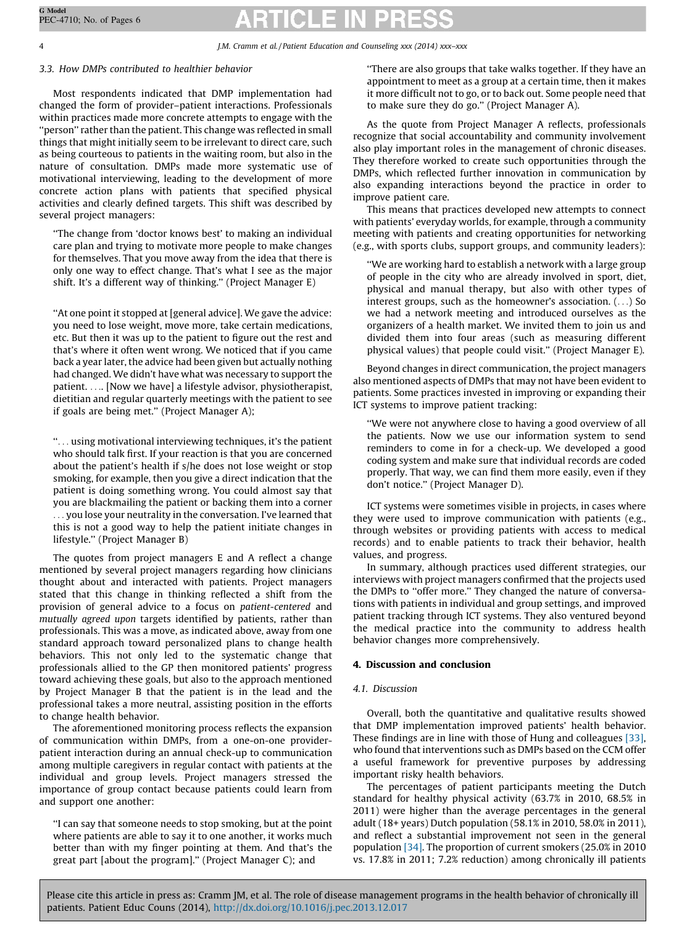# 3.3. How DMPs contributed to healthier behavior

Most respondents indicated that DMP implementation had changed the form of provider–patient interactions. Professionals within practices made more concrete attempts to engage with the ''person'' rather than the patient. This change was reflected in small things that might initially seem to be irrelevant to direct care, such as being courteous to patients in the waiting room, but also in the nature of consultation. DMPs made more systematic use of motivational interviewing, leading to the development of more concrete action plans with patients that specified physical activities and clearly defined targets. This shift was described by several project managers:

''The change from 'doctor knows best' to making an individual care plan and trying to motivate more people to make changes for themselves. That you move away from the idea that there is only one way to effect change. That's what I see as the major shift. It's a different way of thinking.'' (Project Manager E)

''At one point it stopped at [general advice]. We gave the advice: you need to lose weight, move more, take certain medications, etc. But then it was up to the patient to figure out the rest and that's where it often went wrong. We noticed that if you came back a year later, the advice had been given but actually nothing had changed. We didn't have what was necessary to support the patient. . . .. [Now we have] a lifestyle advisor, physiotherapist, dietitian and regular quarterly meetings with the patient to see if goals are being met.'' (Project Manager A);

''. . . using motivational interviewing techniques, it's the patient who should talk first. If your reaction is that you are concerned about the patient's health if s/he does not lose weight or stop smoking, for example, then you give a direct indication that the patient is doing something wrong. You could almost say that you are blackmailing the patient or backing them into a corner . . . you lose your neutrality in the conversation. I've learned that this is not a good way to help the patient initiate changes in lifestyle.'' (Project Manager B)

The quotes from project managers E and A reflect a change mentioned by several project managers regarding how clinicians thought about and interacted with patients. Project managers stated that this change in thinking reflected a shift from the provision of general advice to a focus on patient-centered and mutually agreed upon targets identified by patients, rather than professionals. This was a move, as indicated above, away from one standard approach toward personalized plans to change health behaviors. This not only led to the systematic change that professionals allied to the GP then monitored patients' progress toward achieving these goals, but also to the approach mentioned by Project Manager B that the patient is in the lead and the professional takes a more neutral, assisting position in the efforts to change health behavior.

The aforementioned monitoring process reflects the expansion of communication within DMPs, from a one-on-one providerpatient interaction during an annual check-up to communication among multiple caregivers in regular contact with patients at the individual and group levels. Project managers stressed the importance of group contact because patients could learn from and support one another:

''I can say that someone needs to stop smoking, but at the point where patients are able to say it to one another, it works much better than with my finger pointing at them. And that's the great part [about the program].'' (Project Manager C); and

''There are also groups that take walks together. If they have an appointment to meet as a group at a certain time, then it makes it more difficult not to go, or to back out. Some people need that to make sure they do go.'' (Project Manager A).

As the quote from Project Manager A reflects, professionals recognize that social accountability and community involvement also play important roles in the management of chronic diseases. They therefore worked to create such opportunities through the DMPs, which reflected further innovation in communication by also expanding interactions beyond the practice in order to improve patient care.

This means that practices developed new attempts to connect with patients' everyday worlds, for example, through a community meeting with patients and creating opportunities for networking (e.g., with sports clubs, support groups, and community leaders):

''We are working hard to establish a network with a large group of people in the city who are already involved in sport, diet, physical and manual therapy, but also with other types of interest groups, such as the homeowner's association. (. . .) So we had a network meeting and introduced ourselves as the organizers of a health market. We invited them to join us and divided them into four areas (such as measuring different physical values) that people could visit.'' (Project Manager E).

Beyond changes in direct communication, the project managers also mentioned aspects of DMPs that may not have been evident to patients. Some practices invested in improving or expanding their ICT systems to improve patient tracking:

''We were not anywhere close to having a good overview of all the patients. Now we use our information system to send reminders to come in for a check-up. We developed a good coding system and make sure that individual records are coded properly. That way, we can find them more easily, even if they don't notice.'' (Project Manager D).

ICT systems were sometimes visible in projects, in cases where they were used to improve communication with patients (e.g., through websites or providing patients with access to medical records) and to enable patients to track their behavior, health values, and progress.

In summary, although practices used different strategies, our interviews with project managers confirmed that the projects used the DMPs to "offer more." They changed the nature of conversations with patients in individual and group settings, and improved patient tracking through ICT systems. They also ventured beyond the medical practice into the community to address health behavior changes more comprehensively.

# 4. Discussion and conclusion

# 4.1. Discussion

Overall, both the quantitative and qualitative results showed that DMP implementation improved patients' health behavior. These findings are in line with those of Hung and colleagues [\[33\],](#page-5-0) who found that interventions such as DMPs based on the CCM offer a useful framework for preventive purposes by addressing important risky health behaviors.

The percentages of patient participants meeting the Dutch standard for healthy physical activity (63.7% in 2010, 68.5% in 2011) were higher than the average percentages in the general adult (18+ years) Dutch population (58.1% in 2010, 58.0% in 2011), and reflect a substantial improvement not seen in the general population [\[34\].](#page-5-0) The proportion of current smokers (25.0% in 2010 vs. 17.8% in 2011; 7.2% reduction) among chronically ill patients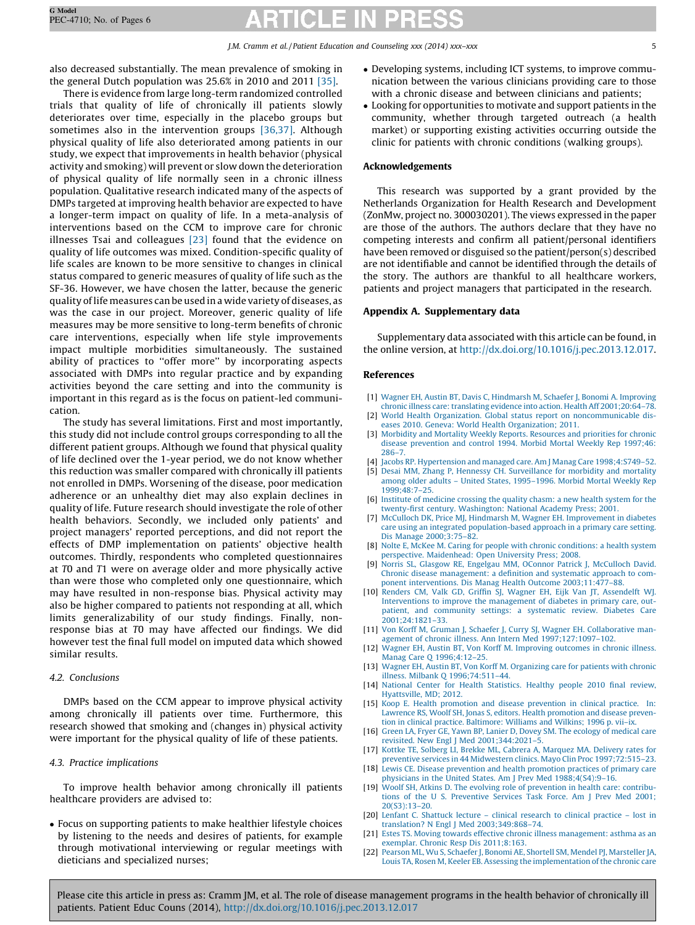<span id="page-4-0"></span>also decreased substantially. The mean prevalence of smoking in the general Dutch population was 25.6% in 2010 and 2011 [\[35\].](#page-5-0)

There is evidence from large long-term randomized controlled trials that quality of life of chronically ill patients slowly deteriorates over time, especially in the placebo groups but sometimes also in the intervention groups [\[36,37\]](#page-5-0). Although physical quality of life also deteriorated among patients in our study, we expect that improvements in health behavior (physical activity and smoking) will prevent or slow down the deterioration of physical quality of life normally seen in a chronic illness population. Qualitative research indicated many of the aspects of DMPs targeted at improving health behavior are expected to have a longer-term impact on quality of life. In a meta-analysis of interventions based on the CCM to improve care for chronic illnesses Tsai and colleagues [\[23\]](#page-5-0) found that the evidence on quality of life outcomes was mixed. Condition-specific quality of life scales are known to be more sensitive to changes in clinical status compared to generic measures of quality of life such as the SF-36. However, we have chosen the latter, because the generic quality of life measures can be used in a wide variety of diseases, as was the case in our project. Moreover, generic quality of life measures may be more sensitive to long-term benefits of chronic care interventions, especially when life style improvements impact multiple morbidities simultaneously. The sustained ability of practices to ''offer more'' by incorporating aspects associated with DMPs into regular practice and by expanding activities beyond the care setting and into the community is important in this regard as is the focus on patient-led communication.

The study has several limitations. First and most importantly, this study did not include control groups corresponding to all the different patient groups. Although we found that physical quality of life declined over the 1-year period, we do not know whether this reduction was smaller compared with chronically ill patients not enrolled in DMPs. Worsening of the disease, poor medication adherence or an unhealthy diet may also explain declines in quality of life. Future research should investigate the role of other health behaviors. Secondly, we included only patients' and project managers' reported perceptions, and did not report the effects of DMP implementation on patients' objective health outcomes. Thirdly, respondents who completed questionnaires at T0 and T1 were on average older and more physically active than were those who completed only one questionnaire, which may have resulted in non-response bias. Physical activity may also be higher compared to patients not responding at all, which limits generalizability of our study findings. Finally, nonresponse bias at T0 may have affected our findings. We did however test the final full model on imputed data which showed similar results.

# 4.2. Conclusions

DMPs based on the CCM appear to improve physical activity among chronically ill patients over time. Furthermore, this research showed that smoking and (changes in) physical activity were important for the physical quality of life of these patients.

# 4.3. Practice implications

To improve health behavior among chronically ill patients healthcare providers are advised to:

 Focus on supporting patients to make healthier lifestyle choices by listening to the needs and desires of patients, for example through motivational interviewing or regular meetings with dieticians and specialized nurses;

- Developing systems, including ICT systems, to improve communication between the various clinicians providing care to those with a chronic disease and between clinicians and patients;
- Looking for opportunities to motivate and support patients in the community, whether through targeted outreach (a health market) or supporting existing activities occurring outside the clinic for patients with chronic conditions (walking groups).

### Acknowledgements

This research was supported by a grant provided by the Netherlands Organization for Health Research and Development (ZonMw, project no. 300030201). The views expressed in the paper are those of the authors. The authors declare that they have no competing interests and confirm all patient/personal identifiers have been removed or disguised so the patient/person(s) described are not identifiable and cannot be identified through the details of the story. The authors are thankful to all healthcare workers, patients and project managers that participated in the research.

### Appendix A. Supplementary data

Supplementary data associated with this article can be found, in the online version, at [http://dx.doi.org/10.1016/j.pec.2013.12.017.](http://dx.doi.org/10.1016/j.pec.2013.12.017)

#### References

- [1] Wagner EH, Austin BT, Davis C, [Hindmarsh](http://refhub.elsevier.com/S0738-3991(14)00003-2/sbref0005) M, Schaefer J, Bonomi A. Improving chronic illness care: translating evidence into action. Health Aff [2001;20:64–78.](http://refhub.elsevier.com/S0738-3991(14)00003-2/sbref0005)
- [2] World Health Organization. Global status report on [noncommunicable](http://refhub.elsevier.com/S0738-3991(14)00003-2/sbref0010) diseases 2010. Geneva: World Health [Organization;](http://refhub.elsevier.com/S0738-3991(14)00003-2/sbref0010) 2011.
- [3] Morbidity and Mortality Weekly Reports. [Resources](http://refhub.elsevier.com/S0738-3991(14)00003-2/sbref0015) and priorities for chronic disease [prevention](http://refhub.elsevier.com/S0738-3991(14)00003-2/sbref0015) and control 1994. Morbid Mortal Weekly Rep 1997;46: [286–7](http://refhub.elsevier.com/S0738-3991(14)00003-2/sbref0015).
- [4] Jacobs RP. Hypertension and managed care. Am J Manag Care [1998;4:S749–52.](http://refhub.elsevier.com/S0738-3991(14)00003-2/sbref0020)
- [5] Desai MM, Zhang P, Hennessy CH. [Surveillance](http://refhub.elsevier.com/S0738-3991(14)00003-2/sbref0025) for morbidity and mortality among older adults – United States, [1995–1996.](http://refhub.elsevier.com/S0738-3991(14)00003-2/sbref0025) Morbid Mortal Weekly Rep [1999;48:7–25](http://refhub.elsevier.com/S0738-3991(14)00003-2/sbref0025).
- [6] Institute of [medicine](http://refhub.elsevier.com/S0738-3991(14)00003-2/sbref0030) crossing the quality chasm: a new health system for the twenty-first century. [Washington:](http://refhub.elsevier.com/S0738-3991(14)00003-2/sbref0030) National Academy Press; 2001.
- [7] McCulloch DK, Price MJ, Hindmarsh M, Wagner EH. [Improvement](http://refhub.elsevier.com/S0738-3991(14)00003-2/sbref0035) in diabetes care using an integrated [population-based](http://refhub.elsevier.com/S0738-3991(14)00003-2/sbref0035) approach in a primary care setting. Dis Manage [2000;3:75–82](http://refhub.elsevier.com/S0738-3991(14)00003-2/sbref0035).
- [8] Nolte E, McKee M. Caring for people with chronic [conditions:](http://refhub.elsevier.com/S0738-3991(14)00003-2/sbref0040) a health system perspective. [Maidenhead:](http://refhub.elsevier.com/S0738-3991(14)00003-2/sbref0040) Open University Press; 2008.
- [9] Norris SL, Glasgow RE, Engelgau MM, OConnor Patrick J, [McCulloch](http://refhub.elsevier.com/S0738-3991(14)00003-2/sbref0045) David. Chronic disease [management:](http://refhub.elsevier.com/S0738-3991(14)00003-2/sbref0045) a definition and systematic approach to component interventions. Dis Manag Health Outcome [2003;11:477–88.](http://refhub.elsevier.com/S0738-3991(14)00003-2/sbref0045)
- [10] Renders CM, Valk GD, Griffin SJ, Wagner EH, Eijk Van JT, [Assendelft](http://refhub.elsevier.com/S0738-3991(14)00003-2/sbref0050) WJ. [Interventions](http://refhub.elsevier.com/S0738-3991(14)00003-2/sbref0050) to improve the management of diabetes in primary care, outpatient, and [community](http://refhub.elsevier.com/S0738-3991(14)00003-2/sbref0050) settings: a systematic review. Diabetes Care [2001;24:1821–33](http://refhub.elsevier.com/S0738-3991(14)00003-2/sbref0050).
- [11] Von Korff M, Gruman J, Schaefer J, Curry SJ, Wagner EH, [Collaborative](http://refhub.elsevier.com/S0738-3991(14)00003-2/sbref0055) management of chronic illness. Ann Intern Med [1997;127:1097–102](http://refhub.elsevier.com/S0738-3991(14)00003-2/sbref0055).
- [12] Wagner EH, Austin BT, Von Korff M. [Improving](http://refhub.elsevier.com/S0738-3991(14)00003-2/sbref0060) outcomes in chronic illness. Manag Care Q [1996;4:12–25](http://refhub.elsevier.com/S0738-3991(14)00003-2/sbref0060).
- [13] Wagner EH, Austin BT, Von Korff M. [Organizing](http://refhub.elsevier.com/S0738-3991(14)00003-2/sbref0065) care for patients with chronic illness. Milbank Q [1996;74:511–44](http://refhub.elsevier.com/S0738-3991(14)00003-2/sbref0065).
- [14] National Center for Health [Statistics.](http://refhub.elsevier.com/S0738-3991(14)00003-2/sbref0070) Healthy people 2010 final review, [Hyattsville,](http://refhub.elsevier.com/S0738-3991(14)00003-2/sbref0070) MD; 2012.
- [15] Koop E. Health promotion and disease [prevention](http://refhub.elsevier.com/S0738-3991(14)00003-2/sbref0075) in clinical practice. In: Lawrence RS, Woolf SH, Jonas S, editors. Health [promotion](http://refhub.elsevier.com/S0738-3991(14)00003-2/sbref0075) and disease preven-tion in clinical practice. [Baltimore:](http://refhub.elsevier.com/S0738-3991(14)00003-2/sbref0075) Williams and Wilkins; 1996 p. [vii–ix](http://refhub.elsevier.com/S0738-3991(14)00003-2/sbref0075).
- [16] Green LA, Fryer GE, Yawn BP, Lanier D, Dovey SM. The ecology of [medical](http://refhub.elsevier.com/S0738-3991(14)00003-2/sbref0080) care revisited. New Engl J Med [2001;344:2021–5](http://refhub.elsevier.com/S0738-3991(14)00003-2/sbref0080).
- [17] Kottke TE, Solberg LI, Brekke ML, Cabrera A, [Marquez](http://refhub.elsevier.com/S0738-3991(14)00003-2/sbref0085) MA. Delivery rates for preventive services in 44 Midwestern clinics. Mayo Clin Proc [1997;72:515–23.](http://refhub.elsevier.com/S0738-3991(14)00003-2/sbref0085)
- [18] Lewis CE. Disease [prevention](http://refhub.elsevier.com/S0738-3991(14)00003-2/sbref0090) and health promotion practices of primary care physicians in the United States. Am J Prev Med [1988;4\(S4\):9–16](http://refhub.elsevier.com/S0738-3991(14)00003-2/sbref0090).
- [19] Woolf SH, Atkins D. The evolving role of [prevention](http://refhub.elsevier.com/S0738-3991(14)00003-2/sbref0095) in health care: contributions of the U S. [Preventive](http://refhub.elsevier.com/S0738-3991(14)00003-2/sbref0095) Services Task Force. Am J Prev Med 2001; [20\(S3\):13–20.](http://refhub.elsevier.com/S0738-3991(14)00003-2/sbref0095)
- [20] Lenfant C. [Shattuck](http://refhub.elsevier.com/S0738-3991(14)00003-2/sbref0100) lecture clinical research to clinical practice lost in translation? N Engl J Med [2003;349:868–74.](http://refhub.elsevier.com/S0738-3991(14)00003-2/sbref0100)
- [21] Estes TS. Moving towards effective chronic illness [management:](http://refhub.elsevier.com/S0738-3991(14)00003-2/sbref0105) asthma as an exemplar. Chronic Resp Dis [2011;8:163.](http://refhub.elsevier.com/S0738-3991(14)00003-2/sbref0105)
- [22] Pearson ML, Wu S, Schaefer J, Bonomi AE, Shortell SM, Mendel PJ, [Marsteller](http://refhub.elsevier.com/S0738-3991(14)00003-2/sbref0110) JA, Louis TA, Rosen M, Keeler EB. Assessing the [implementation](http://refhub.elsevier.com/S0738-3991(14)00003-2/sbref0110) of the chronic care